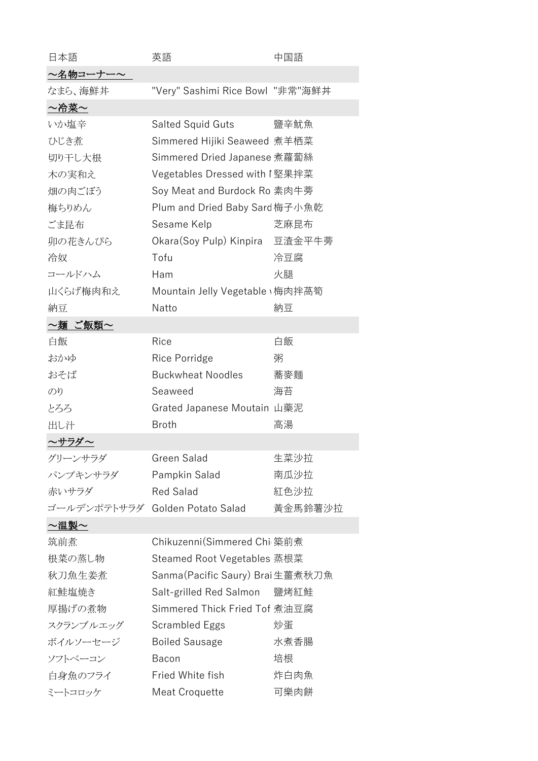| 日本語                             | 英語                               | 中国語     |
|---------------------------------|----------------------------------|---------|
| ~名物コーナー~                        |                                  |         |
| なまら、海鮮丼                         | "Very" Sashimi Rice Bowl "非常"海鮮丼 |         |
| ~冷菜~                            |                                  |         |
| いか塩辛                            | Salted Squid Guts                | 鹽辛魷魚    |
| ひじき煮                            | Simmered Hijiki Seaweed 煮羊栖菜     |         |
| 切り干し大根                          | Simmered Dried Japanese 煮蘿蔔絲     |         |
| 木の実和え                           | Vegetables Dressed with I 堅果拌菜   |         |
| 畑の肉ごぼう                          | Soy Meat and Burdock Ro 素肉牛蒡     |         |
| 梅ちりめん                           | Plum and Dried Baby Sard 梅子小魚乾   |         |
| ごま昆布                            | Sesame Kelp                      | 芝麻昆布    |
| 卯の花きんぴら                         | Okara(Soy Pulp) Kinpira 豆渣金平牛蒡   |         |
| 冷奴                              | Tofu                             | 冷豆腐     |
| コールドハム                          | Ham                              | 火腿      |
| 山くらげ梅肉和え                        | Mountain Jelly Vegetable \梅肉拌萵筍  |         |
| 納豆                              | Natto                            | 納豆      |
| ~麺 ご飯類~                         |                                  |         |
| 白飯                              | Rice                             | 白飯      |
| おかゆ                             | Rice Porridge                    | 粥       |
| おそば                             | <b>Buckwheat Noodles</b>         | 蕎麥麵     |
| のり                              | Seaweed                          | 海苔      |
| とろろ                             | Grated Japanese Moutain 山藥泥      |         |
| 出し汁                             | <b>Broth</b>                     | 高湯      |
| ~サラダ~                           |                                  |         |
| グリーンサラダ                         | Green Salad                      | 生菜沙拉    |
| パンプキンサラダ                        | Pampkin Salad                    | 南瓜沙拉    |
| 赤いサラダ                           | <b>Red Salad</b>                 | 紅色沙拉    |
| ゴールデンポテトサラダ Golden Potato Salad |                                  | 黃金馬鈴薯沙拉 |
| ~温製~                            |                                  |         |
| 筑前煮                             | Chikuzenni(Simmered Chi 築前煮      |         |
| 根菜の蒸し物                          | Steamed Root Vegetables 蒸根菜      |         |
| 秋刀魚生姜煮                          | Sanma(Pacific Saury) Brai生薑煮秋刀魚  |         |
| 紅鮭塩焼き                           | Salt-grilled Red Salmon          | 鹽烤紅鮭    |
| 厚揚げの煮物                          | Simmered Thick Fried Tof 煮油豆腐    |         |
| スクランブルエッグ                       | Scrambled Eggs                   | 炒蛋      |
| ボイルソーセージ                        | <b>Boiled Sausage</b>            | 水煮香腸    |
| ソフトベーコン                         | Bacon                            | 培根      |
| 白身魚のフライ                         | Fried White fish                 | 炸白肉魚    |
| ミートコロッケ                         | Meat Croquette                   | 可樂肉餅    |